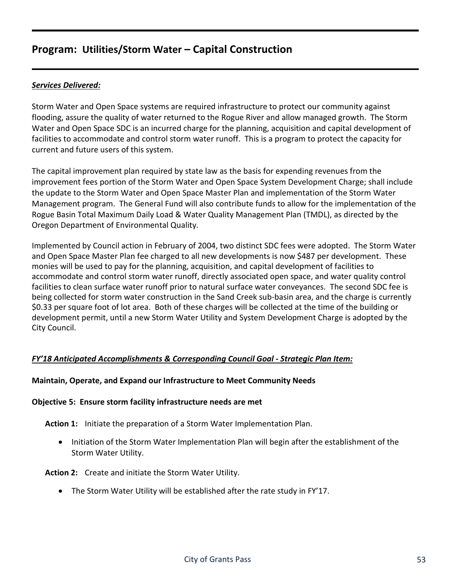#### *Services Delivered:*

Storm Water and Open Space systems are required infrastructure to protect our community against flooding, assure the quality of water returned to the Rogue River and allow managed growth. The Storm Water and Open Space SDC is an incurred charge for the planning, acquisition and capital development of facilities to accommodate and control storm water runoff. This is a program to protect the capacity for current and future users of this system.

The capital improvement plan required by state law as the basis for expending revenues from the improvement fees portion of the Storm Water and Open Space System Development Charge; shall include the update to the Storm Water and Open Space Master Plan and implementation of the Storm Water Management program. The General Fund will also contribute funds to allow for the implementation of the Rogue Basin Total Maximum Daily Load & Water Quality Management Plan (TMDL), as directed by the Oregon Department of Environmental Quality.

Implemented by Council action in February of 2004, two distinct SDC fees were adopted. The Storm Water and Open Space Master Plan fee charged to all new developments is now \$487 per development. These monies will be used to pay for the planning, acquisition, and capital development of facilities to accommodate and control storm water runoff, directly associated open space, and water quality control facilities to clean surface water runoff prior to natural surface water conveyances. The second SDC fee is being collected for storm water construction in the Sand Creek sub-basin area, and the charge is currently \$0.33 per square foot of lot area. Both of these charges will be collected at the time of the building or development permit, until a new Storm Water Utility and System Development Charge is adopted by the City Council.

#### *FY'18 Anticipated Accomplishments & Corresponding Council Goal - Strategic Plan Item:*

#### **Maintain, Operate, and Expand our Infrastructure to Meet Community Needs**

#### **Objective 5: Ensure storm facility infrastructure needs are met**

**Action 1:** Initiate the preparation of a Storm Water Implementation Plan.

• Initiation of the Storm Water Implementation Plan will begin after the establishment of the Storm Water Utility.

**Action 2:** Create and initiate the Storm Water Utility.

• The Storm Water Utility will be established after the rate study in FY'17.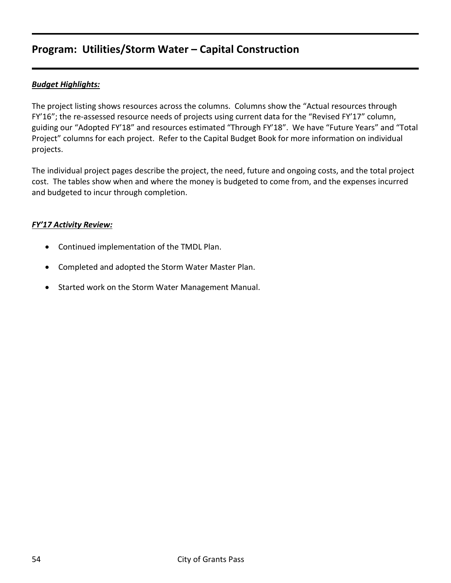### *Budget Highlights:*

The project listing shows resources across the columns. Columns show the "Actual resources through FY'16"; the re-assessed resource needs of projects using current data for the "Revised FY'17" column, guiding our "Adopted FY'18" and resources estimated "Through FY'18". We have "Future Years" and "Total Project" columns for each project. Refer to the Capital Budget Book for more information on individual projects.

The individual project pages describe the project, the need, future and ongoing costs, and the total project cost. The tables show when and where the money is budgeted to come from, and the expenses incurred and budgeted to incur through completion.

#### *FY'17 Activity Review:*

- Continued implementation of the TMDL Plan.
- Completed and adopted the Storm Water Master Plan.
- Started work on the Storm Water Management Manual.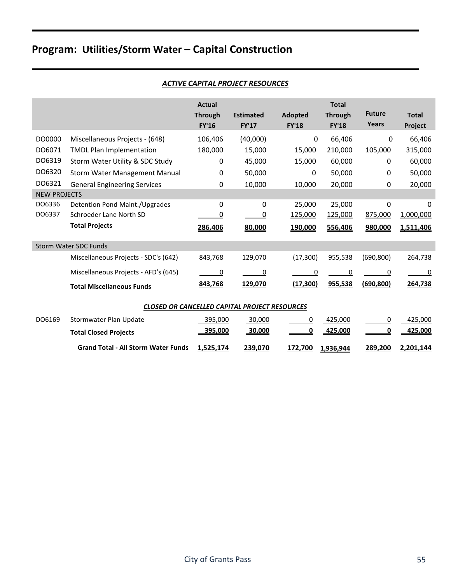| <b>ACTIVE CAPITAL PROJECT RESOURCES</b> |
|-----------------------------------------|
|-----------------------------------------|

|                     |                                                      | <b>Actual</b><br><b>Through</b><br><b>FY'16</b> | <b>Estimated</b><br><b>FY'17</b> | <b>Adopted</b><br><b>FY'18</b> | <b>Total</b><br><b>Through</b><br><b>FY'18</b> | <b>Future</b><br>Years | <b>Total</b><br>Project |  |  |  |
|---------------------|------------------------------------------------------|-------------------------------------------------|----------------------------------|--------------------------------|------------------------------------------------|------------------------|-------------------------|--|--|--|
| DO0000              | Miscellaneous Projects - (648)                       | 106,406                                         | (40,000)                         | 0                              | 66,406                                         | $\mathbf 0$            | 66,406                  |  |  |  |
| DO6071              | <b>TMDL Plan Implementation</b>                      | 180,000                                         | 15,000                           | 15,000                         | 210,000                                        | 105,000                | 315,000                 |  |  |  |
| DO6319              | Storm Water Utility & SDC Study                      | 0                                               | 45,000                           | 15,000                         | 60,000                                         | 0                      | 60,000                  |  |  |  |
| DO6320              | <b>Storm Water Management Manual</b>                 | 0                                               | 50,000                           | 0                              | 50,000                                         | 0                      | 50,000                  |  |  |  |
| DO6321              | <b>General Engineering Services</b>                  | 0                                               | 10,000                           | 10,000                         | 20,000                                         | 0                      | 20,000                  |  |  |  |
| <b>NEW PROJECTS</b> |                                                      |                                                 |                                  |                                |                                                |                        |                         |  |  |  |
| DO6336              | Detention Pond Maint./Upgrades                       | 0                                               | 0                                | 25,000                         | 25,000                                         | 0                      | $\Omega$                |  |  |  |
| DO6337              | Schroeder Lane North SD                              | 0                                               | 0                                | 125,000                        | 125,000                                        | 875,000                | 1,000,000               |  |  |  |
|                     | <b>Total Projects</b>                                | 286,406                                         | 80,000                           | 190,000                        | 556,406                                        | 980,000                | 1,511,406               |  |  |  |
|                     | <b>Storm Water SDC Funds</b>                         |                                                 |                                  |                                |                                                |                        |                         |  |  |  |
|                     | Miscellaneous Projects - SDC's (642)                 | 843,768                                         | 129,070                          | (17, 300)                      | 955,538                                        | (690, 800)             | 264,738                 |  |  |  |
|                     | Miscellaneous Projects - AFD's (645)                 | 0                                               | 0                                | 0                              | 0                                              | 0                      | 0                       |  |  |  |
|                     | <b>Total Miscellaneous Funds</b>                     | 843,768                                         | 129,070                          | (17, 300)                      | 955,538                                        | (690, 800)             | 264,738                 |  |  |  |
|                     | <b>CLOSED OR CANCELLED CAPITAL PROJECT RESOURCES</b> |                                                 |                                  |                                |                                                |                        |                         |  |  |  |
| DO6169              | Stormwater Plan Update                               | 395,000                                         | $-30,000$                        | 0                              | 425,000                                        | 0                      | 425,000                 |  |  |  |
|                     | <b>Total Closed Projects</b>                         | 395,000                                         | 30,000                           | 0                              | 425,000                                        | <u>0</u>               | 425,000                 |  |  |  |
|                     | <b>Grand Total - All Storm Water Funds</b>           | 1,525,174                                       | 239,070                          | 172,700                        | 1,936,944                                      | 289,200                | 2,201,144               |  |  |  |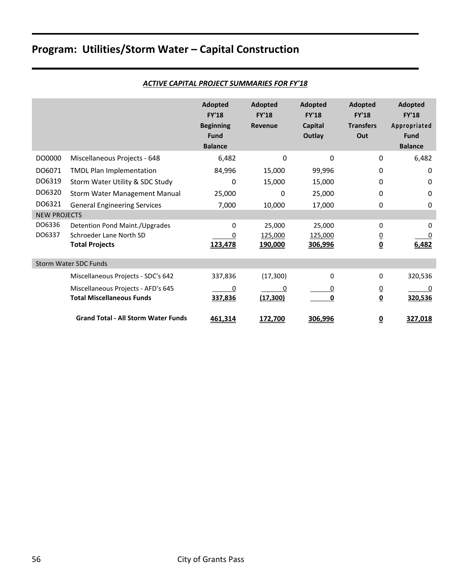|                     |                                            | <b>Adopted</b><br><b>FY'18</b><br><b>Beginning</b><br><b>Fund</b><br><b>Balance</b> | Adopted<br><b>FY'18</b><br><b>Revenue</b> | Adopted<br><b>FY'18</b><br><b>Capital</b><br>Outlay | Adopted<br><b>FY'18</b><br><b>Transfers</b><br>Out | Adopted<br><b>FY'18</b><br>Appropriated<br><b>Fund</b><br><b>Balance</b> |
|---------------------|--------------------------------------------|-------------------------------------------------------------------------------------|-------------------------------------------|-----------------------------------------------------|----------------------------------------------------|--------------------------------------------------------------------------|
| DO0000              | Miscellaneous Projects - 648               | 6,482                                                                               | $\Omega$                                  | $\Omega$                                            | $\Omega$                                           | 6,482                                                                    |
| DO6071              | <b>TMDL Plan Implementation</b>            | 84,996                                                                              | 15,000                                    | 99,996                                              | $\mathbf{0}$                                       | 0                                                                        |
| DO6319              | Storm Water Utility & SDC Study            | 0                                                                                   | 15,000                                    | 15,000                                              | $\mathbf{0}$                                       | 0                                                                        |
| DO6320              | Storm Water Management Manual              | 25,000                                                                              | 0                                         | 25,000                                              | $\mathbf{0}$                                       | 0                                                                        |
| DO6321              | <b>General Engineering Services</b>        | 7,000                                                                               | 10,000                                    | 17,000                                              | 0                                                  | 0                                                                        |
| <b>NEW PROJECTS</b> |                                            |                                                                                     |                                           |                                                     |                                                    |                                                                          |
| DO6336              | Detention Pond Maint./Upgrades             | $\Omega$                                                                            | 25,000                                    | 25,000                                              | $\Omega$                                           | 0                                                                        |
| DO6337              | Schroeder Lane North SD                    |                                                                                     | 125,000                                   | 125,000                                             | $\overline{0}$                                     | 0                                                                        |
|                     | <b>Total Projects</b>                      | 123,478                                                                             | 190,000                                   | 306,996                                             | $\underline{\underline{0}}$                        | 6,482                                                                    |
|                     | Storm Water SDC Funds                      |                                                                                     |                                           |                                                     |                                                    |                                                                          |
|                     | Miscellaneous Projects - SDC's 642         | 337,836                                                                             | (17, 300)                                 | $\Omega$                                            | $\Omega$                                           | 320,536                                                                  |
|                     | Miscellaneous Projects - AFD's 645         | 0                                                                                   | 0                                         |                                                     | $\overline{0}$                                     | 0                                                                        |
|                     | <b>Total Miscellaneous Funds</b>           | 337,836                                                                             | (17, 300)                                 | 0                                                   | $\underline{\mathbf{0}}$                           | 320,536                                                                  |
|                     | <b>Grand Total - All Storm Water Funds</b> | 461,314                                                                             | 172,700                                   | 306,996                                             | $\overline{\mathbf{0}}$                            | 327,018                                                                  |

#### *ACTIVE CAPITAL PROJECT SUMMARIES FOR FY'18*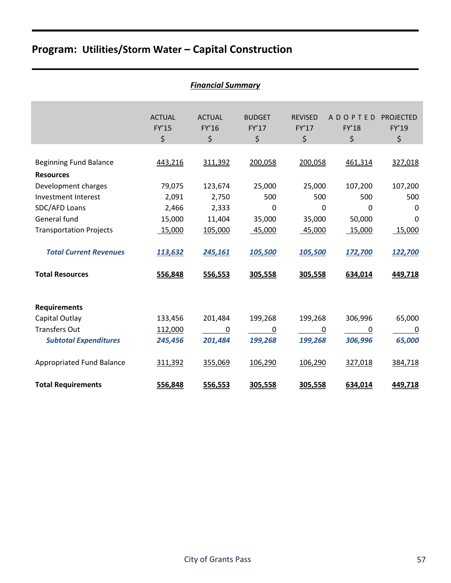|                                                   | <b>Financial Summary</b>     |                              |                              |                               |                               |                                      |  |  |  |  |  |  |  |
|---------------------------------------------------|------------------------------|------------------------------|------------------------------|-------------------------------|-------------------------------|--------------------------------------|--|--|--|--|--|--|--|
|                                                   | <b>ACTUAL</b><br>FY'15<br>\$ | <b>ACTUAL</b><br>FY'16<br>\$ | <b>BUDGET</b><br>FY'17<br>\$ | <b>REVISED</b><br>FY'17<br>\$ | <b>ADOPTED</b><br>FY'18<br>\$ | <b>PROJECTED</b><br>FY'19<br>$\zeta$ |  |  |  |  |  |  |  |
|                                                   |                              |                              |                              |                               |                               |                                      |  |  |  |  |  |  |  |
| <b>Beginning Fund Balance</b><br><b>Resources</b> | 443,216                      | 311,392                      | 200,058                      | 200,058                       | 461,314                       | 327,018                              |  |  |  |  |  |  |  |
| Development charges                               | 79,075                       | 123,674                      | 25,000                       | 25,000                        | 107,200                       | 107,200                              |  |  |  |  |  |  |  |
| Investment Interest                               | 2,091                        | 2,750                        | 500                          | 500                           | 500                           | 500                                  |  |  |  |  |  |  |  |
| SDC/AFD Loans                                     | 2,466                        | 2,333                        | 0                            | $\Omega$                      | $\Omega$                      | 0                                    |  |  |  |  |  |  |  |
| General fund                                      | 15,000                       | 11,404                       | 35,000                       | 35,000                        | 50,000                        | $\Omega$                             |  |  |  |  |  |  |  |
| <b>Transportation Projects</b>                    | 15,000                       | 105,000                      | 45,000                       | 45,000                        | 15,000                        | 15,000                               |  |  |  |  |  |  |  |
| <b>Total Current Revenues</b>                     | 113,632                      | 245,161                      | 105,500                      | 105,500                       | 172,700                       | 122,700                              |  |  |  |  |  |  |  |
| <b>Total Resources</b>                            | 556,848                      | 556,553                      | 305,558                      | 305,558                       | 634,014                       | 449,718                              |  |  |  |  |  |  |  |
| <b>Requirements</b>                               |                              |                              |                              |                               |                               |                                      |  |  |  |  |  |  |  |
| Capital Outlay                                    | 133,456                      | 201,484                      | 199,268                      | 199,268                       | 306,996                       | 65,000                               |  |  |  |  |  |  |  |
| <b>Transfers Out</b>                              | 112,000                      | 0                            | $\boldsymbol{0}$             | 0                             | 0                             | $\mathbf 0$                          |  |  |  |  |  |  |  |
| <b>Subtotal Expenditures</b>                      | 245,456                      | 201,484                      | 199,268                      | 199,268                       | 306,996                       | 65,000                               |  |  |  |  |  |  |  |
| Appropriated Fund Balance                         | 311,392                      | 355,069                      | 106,290                      | 106,290                       | 327,018                       | 384,718                              |  |  |  |  |  |  |  |
| <b>Total Requirements</b>                         | 556,848                      | 556,553                      | 305,558                      | 305,558                       | 634,014                       | 449,718                              |  |  |  |  |  |  |  |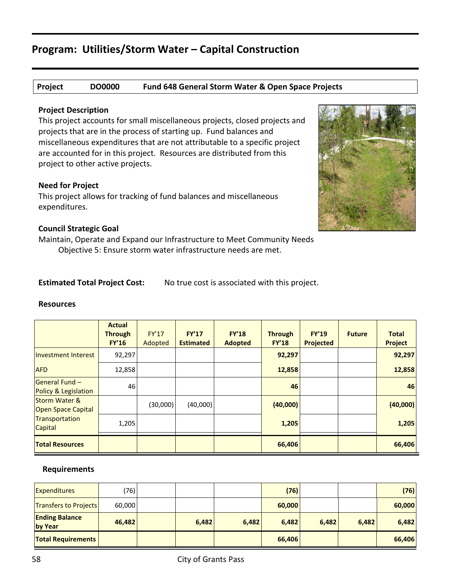#### **Project DO0000 Fund 648 General Storm Water & Open Space Projects**

#### **Project Description**

This project accounts for small miscellaneous projects, closed projects and projects that are in the process of starting up. Fund balances and miscellaneous expenditures that are not attributable to a specific project are accounted for in this project. Resources are distributed from this project to other active projects.

#### **Need for Project**

This project allows for tracking of fund balances and miscellaneous expenditures.

#### **Council Strategic Goal**

Maintain, Operate and Expand our Infrastructure to Meet Community Needs Objective 5: Ensure storm water infrastructure needs are met.

**Estimated Total Project Cost:** No true cost is associated with this project.

#### **Resources**

|                                                       | <b>Actual</b><br><b>Through</b><br><b>FY'16</b> | <b>FY'17</b><br>Adopted | <b>FY'17</b><br><b>Estimated</b> | <b>FY'18</b><br><b>Adopted</b> | <b>Through</b><br><b>FY'18</b> | <b>FY'19</b><br><b>Projected</b> | <b>Future</b> | <b>Total</b><br><b>Project</b> |
|-------------------------------------------------------|-------------------------------------------------|-------------------------|----------------------------------|--------------------------------|--------------------------------|----------------------------------|---------------|--------------------------------|
| <b>Investment Interest</b>                            | 92,297                                          |                         |                                  |                                | 92,297                         |                                  |               | 92,297                         |
| <b>AFD</b>                                            | 12,858                                          |                         |                                  |                                | 12,858                         |                                  |               | 12,858                         |
| <b>General Fund -</b><br>Policy & Legislation         | 46                                              |                         |                                  |                                | 46                             |                                  |               | 46                             |
| <b>Storm Water &amp;</b><br><b>Open Space Capital</b> |                                                 | (30,000)                | (40,000)                         |                                | (40,000)                       |                                  |               | (40,000)                       |
| Transportation<br><b>Capital</b>                      | 1,205                                           |                         |                                  |                                | 1,205                          |                                  |               | 1,205                          |
| <b>Total Resources</b>                                |                                                 |                         |                                  |                                | 66,406                         |                                  |               | 66,406                         |

| <b>Expenditures</b>              | (76)   |       |       | (76)   |       |       | (76)   |
|----------------------------------|--------|-------|-------|--------|-------|-------|--------|
| <b>Transfers to Projects</b>     | 60,000 |       |       | 60,000 |       |       | 60,000 |
| <b>Ending Balance</b><br>by Year | 46,482 | 6,482 | 6,482 | 6,482  | 6,482 | 6,482 | 6,482  |
| <b>Total Requirements</b>        |        |       |       | 66,406 |       |       | 66,406 |

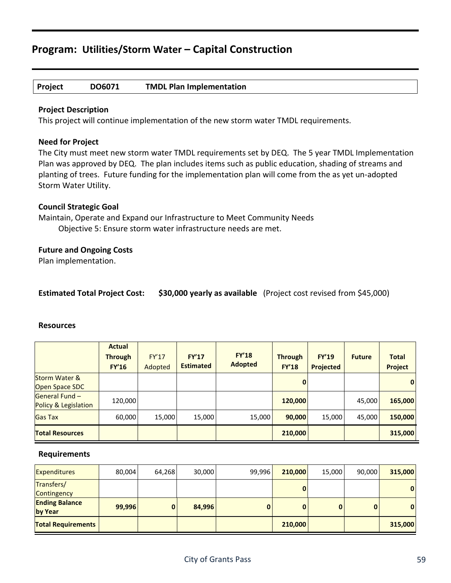#### **Project DO6071 TMDL Plan Implementation**

#### **Project Description**

This project will continue implementation of the new storm water TMDL requirements.

#### **Need for Project**

The City must meet new storm water TMDL requirements set by DEQ. The 5 year TMDL Implementation Plan was approved by DEQ. The plan includes items such as public education, shading of streams and planting of trees. Future funding for the implementation plan will come from the as yet un-adopted Storm Water Utility.

#### **Council Strategic Goal**

Maintain, Operate and Expand our Infrastructure to Meet Community Needs Objective 5: Ensure storm water infrastructure needs are met.

#### **Future and Ongoing Costs**

Plan implementation.

| <b>Estimated Total Project Cost:</b> |  | \$30,000 yearly as available (Project cost revised from \$45,000) |
|--------------------------------------|--|-------------------------------------------------------------------|
|--------------------------------------|--|-------------------------------------------------------------------|

#### **Resources**

|                                                   | <b>Actual</b><br><b>Through</b><br><b>FY'16</b> | <b>FY'17</b><br>Adopted | FY'17<br><b>Estimated</b> | <b>FY'18</b><br><b>Adopted</b> | <b>Through</b><br><b>FY'18</b> | <b>FY'19</b><br><b>Projected</b> | <b>Future</b> | <b>Total</b><br><b>Project</b> |
|---------------------------------------------------|-------------------------------------------------|-------------------------|---------------------------|--------------------------------|--------------------------------|----------------------------------|---------------|--------------------------------|
| <b>Storm Water &amp;</b><br><b>Open Space SDC</b> |                                                 |                         |                           |                                | $\mathbf 0$                    |                                  |               | $\mathbf{0}$                   |
| General Fund -<br>Policy & Legislation            | 120,000                                         |                         |                           |                                | 120,000                        |                                  | 45,000        | 165,000                        |
| <b>Gas Tax</b>                                    | 60,000                                          | 15,000                  | 15,000                    | 15,000                         | 90,000                         | 15,000                           | 45,000        | 150,000                        |
| <b>Total Resources</b>                            |                                                 |                         |                           |                                | 210,000                        |                                  |               | 315,000                        |

| <b>Expenditures</b>              | 80,004 | 64,268 | 30,000 | 99,996 | 210,000 | 15,000       | 90,000 | 315,000  |
|----------------------------------|--------|--------|--------|--------|---------|--------------|--------|----------|
| Transfers/<br>Contingency        |        |        |        |        |         |              |        | $\bf{0}$ |
| <b>Ending Balance</b><br>by Year | 99,996 |        | 84,996 |        |         | $\mathbf{0}$ | 0      | $\bf{0}$ |
| <b>Total Requirements</b>        |        |        |        |        | 210,000 |              |        | 315,000  |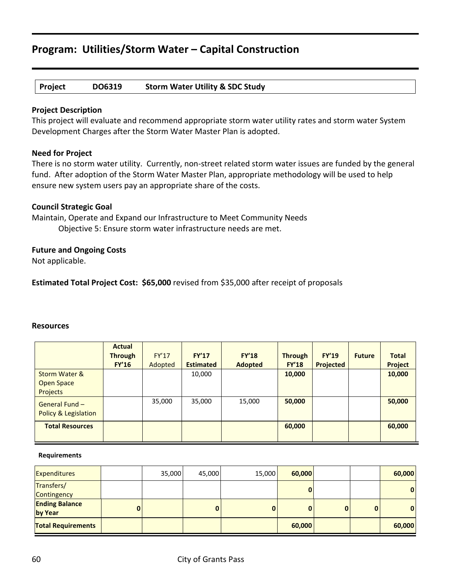#### **Project DO6319 Storm Water Utility & SDC Study**

#### **Project Description**

This project will evaluate and recommend appropriate storm water utility rates and storm water System Development Charges after the Storm Water Master Plan is adopted.

#### **Need for Project**

There is no storm water utility. Currently, non-street related storm water issues are funded by the general fund. After adoption of the Storm Water Master Plan, appropriate methodology will be used to help ensure new system users pay an appropriate share of the costs.

#### **Council Strategic Goal**

Maintain, Operate and Expand our Infrastructure to Meet Community Needs Objective 5: Ensure storm water infrastructure needs are met.

#### **Future and Ongoing Costs**

Not applicable.

**Estimated Total Project Cost: \$65,000** revised from \$35,000 after receipt of proposals

#### **Resources**

|                                                           | <b>Actual</b><br><b>Through</b><br><b>FY'16</b> | <b>FY'17</b><br>Adopted | FY'17<br><b>Estimated</b> | <b>FY'18</b><br><b>Adopted</b> | <b>Through</b><br><b>FY'18</b> | <b>FY'19</b><br>Projected | <b>Future</b> | <b>Total</b><br>Project |
|-----------------------------------------------------------|-------------------------------------------------|-------------------------|---------------------------|--------------------------------|--------------------------------|---------------------------|---------------|-------------------------|
| <b>Storm Water &amp;</b><br>Open Space<br><b>Projects</b> |                                                 |                         | 10,000                    |                                | 10,000                         |                           |               | 10,000                  |
| General Fund -<br>Policy & Legislation                    |                                                 | 35,000                  | 35,000                    | 15,000                         | 50,000                         |                           |               | 50,000                  |
| <b>Total Resources</b>                                    |                                                 |                         |                           |                                | 60,000                         |                           |               | 60,000                  |

| <b>Expenditures</b>              |   | 35,000 | 45,000 | 15,000 | 60,000 |   | 60,000       |
|----------------------------------|---|--------|--------|--------|--------|---|--------------|
| Transfers/<br>Contingency        |   |        |        |        | 0      |   | $\mathbf{0}$ |
| <b>Ending Balance</b><br>by Year | 0 |        | 0      |        | 0      | 0 | $\mathbf{0}$ |
| <b>Total Requirements</b>        |   |        |        |        | 60,000 |   | 60,000       |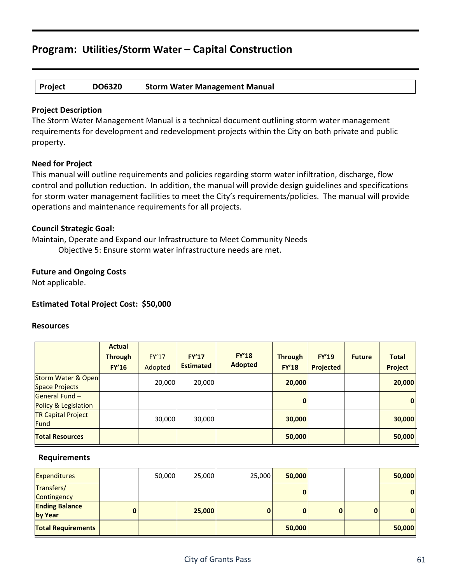#### **Project DO6320 Storm Water Management Manual**

#### **Project Description**

The Storm Water Management Manual is a technical document outlining storm water management requirements for development and redevelopment projects within the City on both private and public property.

#### **Need for Project**

This manual will outline requirements and policies regarding storm water infiltration, discharge, flow control and pollution reduction. In addition, the manual will provide design guidelines and specifications for storm water management facilities to meet the City's requirements/policies. The manual will provide operations and maintenance requirements for all projects.

#### **Council Strategic Goal:**

Maintain, Operate and Expand our Infrastructure to Meet Community Needs Objective 5: Ensure storm water infrastructure needs are met.

#### **Future and Ongoing Costs**

Not applicable.

#### **Estimated Total Project Cost: \$50,000**

#### **Resources**

|                                                        | <b>Actual</b><br><b>Through</b><br><b>FY'16</b> | <b>FY'17</b><br>Adopted | <b>FY'17</b><br><b>Estimated</b> | <b>FY'18</b><br><b>Adopted</b> | <b>Through</b><br><b>FY'18</b> | <b>FY'19</b><br><b>Projected</b> | <b>Future</b> | <b>Total</b><br><b>Project</b> |
|--------------------------------------------------------|-------------------------------------------------|-------------------------|----------------------------------|--------------------------------|--------------------------------|----------------------------------|---------------|--------------------------------|
| <b>Storm Water &amp; Open</b><br><b>Space Projects</b> |                                                 | 20,000                  | 20,000                           |                                | 20,000                         |                                  |               | 20,000                         |
| <b>General Fund -</b><br>Policy & Legislation          |                                                 |                         |                                  |                                | $\mathbf{0}$                   |                                  |               | $\mathbf{0}$                   |
| <b>TR Capital Project</b><br>Fund                      |                                                 | 30,000                  | 30,000                           |                                | 30,000                         |                                  |               | 30,000                         |
| <b>Total Resources</b>                                 |                                                 |                         |                                  |                                | 50,000                         |                                  |               | 50,000                         |

| Expenditures                     | 50,000 | 25,000 | 25,000 | 50,000 |              | 50,000 |
|----------------------------------|--------|--------|--------|--------|--------------|--------|
| Transfers/<br>Contingency        |        |        |        | 0      |              | 0      |
| <b>Ending Balance</b><br>by Year |        | 25,000 | 0      | 0      | $\mathbf{0}$ | 0      |
| <b>Total Requirements</b>        |        |        |        | 50,000 |              | 50,000 |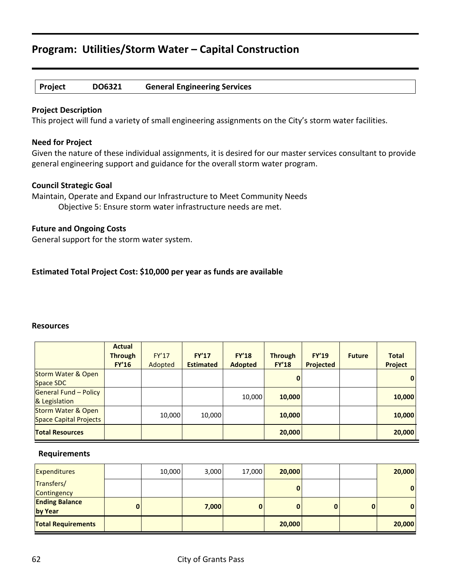#### **Project DO6321 General Engineering Services**

#### **Project Description**

This project will fund a variety of small engineering assignments on the City's storm water facilities.

#### **Need for Project**

Given the nature of these individual assignments, it is desired for our master services consultant to provide general engineering support and guidance for the overall storm water program.

#### **Council Strategic Goal**

Maintain, Operate and Expand our Infrastructure to Meet Community Needs Objective 5: Ensure storm water infrastructure needs are met.

#### **Future and Ongoing Costs**

General support for the storm water system.

#### **Estimated Total Project Cost: \$10,000 per year as funds are available**

#### **Resources**

|                                                         | <b>Actual</b><br><b>Through</b><br><b>FY'16</b> | FY'17<br>Adopted | <b>FY'17</b><br><b>Estimated</b> | <b>FY'18</b><br><b>Adopted</b> | <b>Through</b><br><b>FY'18</b> | FY'19<br><b>Projected</b> | <b>Future</b> | <b>Total</b><br><b>Project</b> |
|---------------------------------------------------------|-------------------------------------------------|------------------|----------------------------------|--------------------------------|--------------------------------|---------------------------|---------------|--------------------------------|
| <b>Storm Water &amp; Open</b><br>Space SDC              |                                                 |                  |                                  |                                | 0                              |                           |               | $\overline{0}$                 |
| General Fund - Policy<br>& Legislation                  |                                                 |                  |                                  | 10,000                         | 10,000                         |                           |               | 10,000                         |
| <b>Storm Water &amp; Open</b><br>Space Capital Projects |                                                 | 10,000           | 10,000                           |                                | 10,000                         |                           |               | 10,000                         |
| <b>Total Resources</b>                                  |                                                 |                  |                                  |                                | 20,000                         |                           |               | 20,000                         |

| <b>Expenditures</b>              |   | 10,000 | 3,000 | 17,000 | 20,000 |          | 20,000       |
|----------------------------------|---|--------|-------|--------|--------|----------|--------------|
| Transfers/<br>Contingency        |   |        |       |        |        |          | $\mathbf{0}$ |
| <b>Ending Balance</b><br>by Year | 0 |        | 7,000 | 0      | 0      | $\bf{0}$ | $\mathbf{0}$ |
| <b>Total Requirements</b>        |   |        |       |        | 20,000 |          | 20,000       |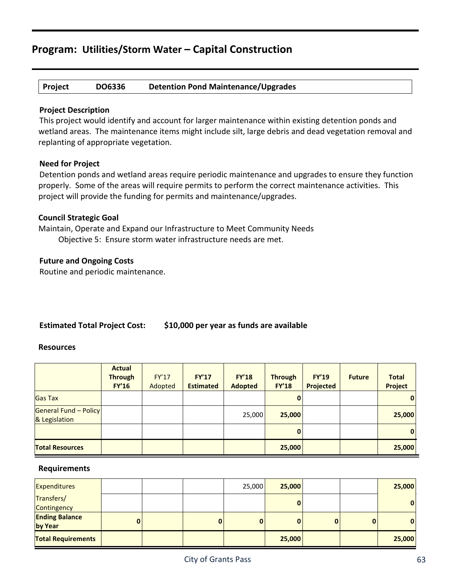**Project DO6336 Detention Pond Maintenance/Upgrades**

#### **Project Description**

This project would identify and account for larger maintenance within existing detention ponds and wetland areas. The maintenance items might include silt, large debris and dead vegetation removal and replanting of appropriate vegetation.

#### **Need for Project**

Detention ponds and wetland areas require periodic maintenance and upgrades to ensure they function properly. Some of the areas will require permits to perform the correct maintenance activities. This project will provide the funding for permits and maintenance/upgrades.

#### **Council Strategic Goal**

Maintain, Operate and Expand our Infrastructure to Meet Community Needs Objective 5: Ensure storm water infrastructure needs are met.

#### **Future and Ongoing Costs**

Routine and periodic maintenance.

#### **Estimated Total Project Cost: \$10,000 per year as funds are available**

#### **Resources**

|                                               | <b>Actual</b><br><b>Through</b><br><b>FY'16</b> | <b>FY'17</b><br>Adopted | <b>FY'17</b><br><b>Estimated</b> | <b>FY'18</b><br><b>Adopted</b> | <b>Through</b><br><b>FY'18</b> | <b>FY'19</b><br>Projected | <b>Future</b> | <b>Total</b><br><b>Project</b> |
|-----------------------------------------------|-------------------------------------------------|-------------------------|----------------------------------|--------------------------------|--------------------------------|---------------------------|---------------|--------------------------------|
| <b>Gas Tax</b>                                |                                                 |                         |                                  |                                | 0                              |                           |               | $\bf{0}$                       |
| <b>General Fund - Policy</b><br>& Legislation |                                                 |                         |                                  | 25,000                         | 25,000                         |                           |               | 25,000                         |
|                                               |                                                 |                         |                                  |                                | $\mathbf{0}$                   |                           |               | 0                              |
| <b>Total Resources</b>                        |                                                 |                         |                                  |                                | 25,000                         |                           |               | 25,000                         |

| <b>Expenditures</b>              |   |          | 25,000   | 25,000 |   |          | 25,000       |
|----------------------------------|---|----------|----------|--------|---|----------|--------------|
| Transfers/<br>Contingency        |   |          |          | O      |   |          | $\mathbf{0}$ |
| <b>Ending Balance</b><br>by Year | 0 | $\bf{0}$ | $\bf{0}$ | 0      | 0 | $\bf{0}$ | $\mathbf{0}$ |
| <b>Total Requirements</b>        |   |          |          | 25,000 |   |          | 25,000       |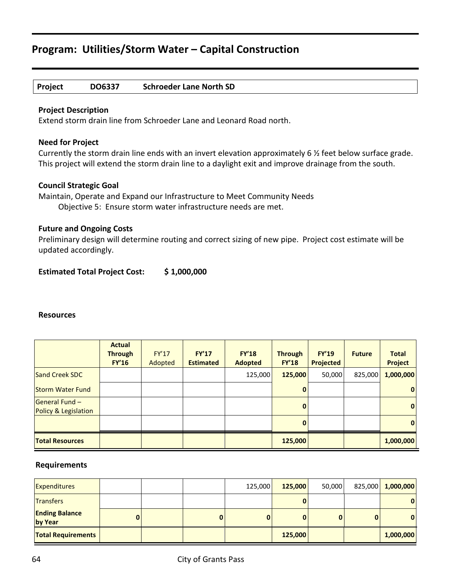| <b>Schroeder Lane North SD</b><br>DO6337<br><b>Project</b> |  |
|------------------------------------------------------------|--|
|------------------------------------------------------------|--|

#### **Project Description**

Extend storm drain line from Schroeder Lane and Leonard Road north.

#### **Need for Project**

Currently the storm drain line ends with an invert elevation approximately 6 ½ feet below surface grade. This project will extend the storm drain line to a daylight exit and improve drainage from the south.

#### **Council Strategic Goal**

Maintain, Operate and Expand our Infrastructure to Meet Community Needs Objective 5: Ensure storm water infrastructure needs are met.

#### **Future and Ongoing Costs**

Preliminary design will determine routing and correct sizing of new pipe. Project cost estimate will be updated accordingly.

**Estimated Total Project Cost: \$ 1,000,000**

#### **Resources**

|                                                                          | <b>Actual</b><br><b>Through</b><br><b>FY'16</b> | <b>FY'17</b><br>Adopted | <b>FY'17</b><br><b>Estimated</b> | <b>FY'18</b><br><b>Adopted</b> | <b>Through</b><br><b>FY'18</b>               | <b>FY'19</b><br><b>Projected</b> | <b>Future</b> | <b>Total</b><br><b>Project</b>       |
|--------------------------------------------------------------------------|-------------------------------------------------|-------------------------|----------------------------------|--------------------------------|----------------------------------------------|----------------------------------|---------------|--------------------------------------|
| Sand Creek SDC                                                           |                                                 |                         |                                  | 125,000                        | 125,000                                      | 50,000                           | 825,000       | 1,000,000                            |
| <b>Storm Water Fund</b><br><b>General Fund -</b><br>Policy & Legislation |                                                 |                         |                                  |                                | $\mathbf{0}$<br>$\mathbf{0}$<br>$\mathbf{0}$ |                                  |               | $\overline{0}$<br>$\mathbf{0}$<br> 0 |
| <b>Total Resources</b>                                                   |                                                 |                         |                                  |                                | 125,000                                      |                                  |               | 1,000,000                            |

| <b>Expenditures</b>              |   |  | 125,000 | 125,000 | 50,000 |   | 825,000 1,000,000 |
|----------------------------------|---|--|---------|---------|--------|---|-------------------|
| <b>Transfers</b>                 |   |  |         |         |        |   | $\mathbf{0}$      |
| <b>Ending Balance</b><br>by Year | 0 |  | 0       |         | 0      | O | $\mathbf{0}$      |
| <b>Total Requirements</b>        |   |  |         | 125,000 |        |   | 1,000,000         |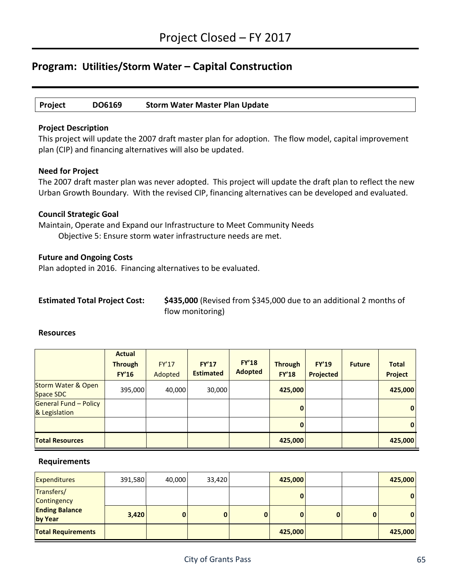**Project DO6169 Storm Water Master Plan Update**

#### **Project Description**

This project will update the 2007 draft master plan for adoption. The flow model, capital improvement plan (CIP) and financing alternatives will also be updated.

#### **Need for Project**

The 2007 draft master plan was never adopted. This project will update the draft plan to reflect the new Urban Growth Boundary. With the revised CIP, financing alternatives can be developed and evaluated.

#### **Council Strategic Goal**

Maintain, Operate and Expand our Infrastructure to Meet Community Needs Objective 5: Ensure storm water infrastructure needs are met.

#### **Future and Ongoing Costs**

Plan adopted in 2016. Financing alternatives to be evaluated.

| <b>Estimated Total Project Cost:</b> |  |  |  |
|--------------------------------------|--|--|--|
|--------------------------------------|--|--|--|

\$435,000 (Revised from \$345,000 due to an additional 2 months of flow monitoring)

#### **Resources**

|                                            | <b>Actual</b><br><b>Through</b><br><b>FY'16</b> | <b>FY'17</b><br>Adopted | <b>FY'17</b><br><b>Estimated</b> | <b>FY'18</b><br><b>Adopted</b> | <b>Through</b><br><b>FY'18</b> | <b>FY'19</b><br>Projected | <b>Future</b> | <b>Total</b><br><b>Project</b> |
|--------------------------------------------|-------------------------------------------------|-------------------------|----------------------------------|--------------------------------|--------------------------------|---------------------------|---------------|--------------------------------|
| <b>Storm Water &amp; Open</b><br>Space SDC | 395,000                                         | 40,000                  | 30,000                           |                                | 425,000                        |                           |               | 425,000                        |
| General Fund - Policy<br>& Legislation     |                                                 |                         |                                  |                                | $\mathbf{0}$                   |                           |               | 0                              |
|                                            |                                                 |                         |                                  |                                | $\mathbf{0}$                   |                           |               | 0                              |
| <b>Total Resources</b>                     |                                                 |                         |                                  |                                | 425,000                        |                           |               | 425,000                        |

| <b>Expenditures</b>              | 391,580 | 40,000 | 33,420 |   | 425,000      |          |   | 425,000 |
|----------------------------------|---------|--------|--------|---|--------------|----------|---|---------|
| Transfers/<br>Contingency        |         |        |        |   | $\mathbf{0}$ |          |   | 0       |
| <b>Ending Balance</b><br>by Year | 3,420   |        | 0      | 0 | 0            | $\bf{0}$ | 0 | 0       |
| <b>Total Requirements</b>        |         |        |        |   | 425,000      |          |   | 425,000 |